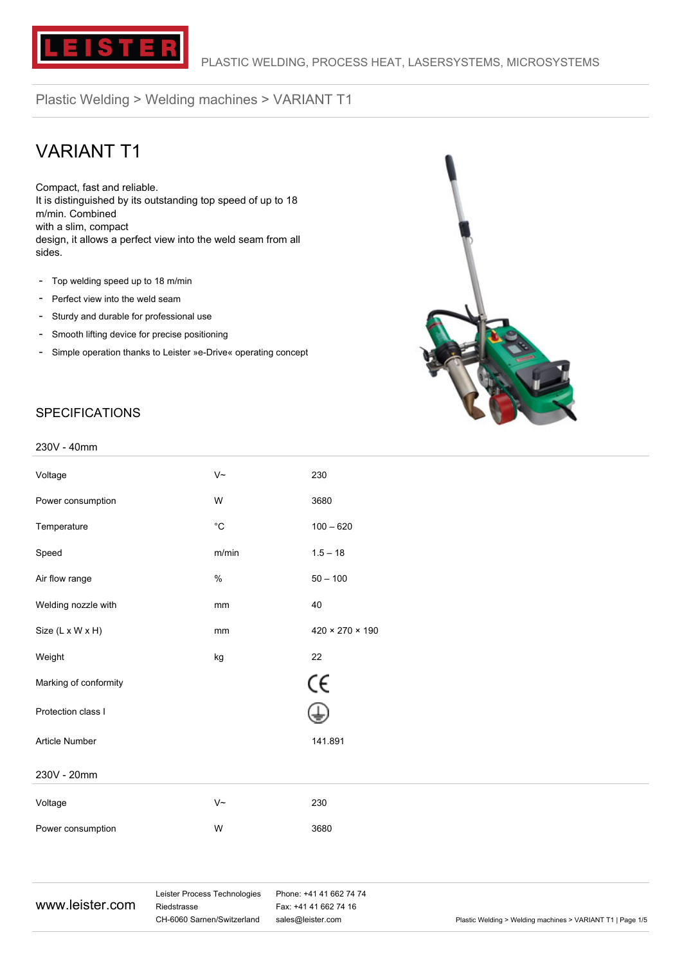

# VARIANT T1

Compact, fast and reliable. It is distinguished by its outstanding top speed of up to 18 m/min. Combined with a slim, compact design, it allows a perfect view into the weld seam from all sides.

- Top welding speed up to 18 m/min
- Perfect view into the weld seam
- Sturdy and durable for professional use
- Smooth lifting device for precise positioning
- Simple operation thanks to Leister »e-Drive« operating concept



#### **SPECIFICATIONS**

#### 230V - 40mm

| Voltage               | $V~\sim$          | 230                         |
|-----------------------|-------------------|-----------------------------|
| Power consumption     | W                 | 3680                        |
| Temperature           | $^{\circ}{\rm C}$ | $100 - 620$                 |
| Speed                 | m/min             | $1.5 - 18$                  |
| Air flow range        | $\%$              | $50 - 100$                  |
| Welding nozzle with   | mm                | 40                          |
| Size (L x W x H)      | mm                | $420 \times 270 \times 190$ |
| Weight                | kg                | 22                          |
| Marking of conformity |                   | CE                          |
| Protection class I    |                   | ⊕                           |
| Article Number        |                   | 141.891                     |
| 230V - 20mm           |                   |                             |
| Voltage               | $V~\sim$          | 230                         |
| Power consumption     | W                 | 3680                        |
|                       |                   |                             |
|                       |                   |                             |

#### www.leister.com

Leister Process Technologies Riedstrasse CH-6060 Sarnen/Switzerland

Phone: +41 41 662 74 74 Fax: +41 41 662 74 16

sales@leister.com entity relation of Plastic Welding > Welding machines > VARIANT T1 | Page 1/5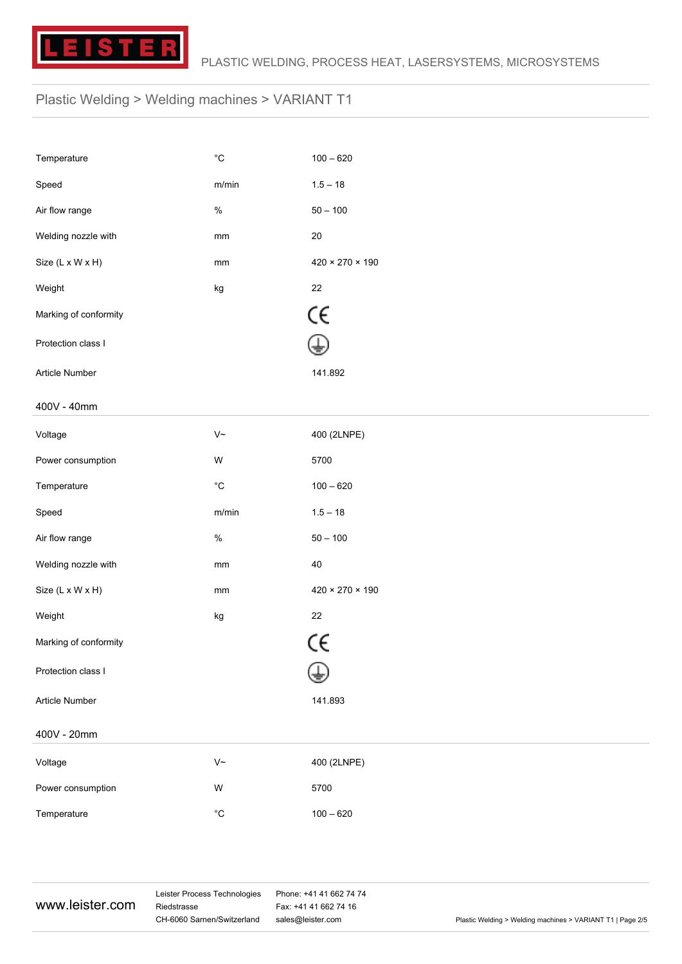

| Temperature           | $^{\circ}{\rm C}$          | $100 - 620$                 |
|-----------------------|----------------------------|-----------------------------|
| Speed                 | m/min                      | $1.5 - 18$                  |
| Air flow range        | $\%$                       | $50 - 100$                  |
| Welding nozzle with   | mm                         | $20\,$                      |
| Size (L x W x H)      | mm                         | $420 \times 270 \times 190$ |
| Weight                | kg                         | $22\,$                      |
| Marking of conformity |                            | CE                          |
| Protection class I    |                            |                             |
| Article Number        |                            | 141.892                     |
| 400V - 40mm           |                            |                             |
| Voltage               | $\mathsf{V}\mathord{\sim}$ | 400 (2LNPE)                 |
| Power consumption     | W                          | 5700                        |
| Temperature           | $^{\circ}{\rm C}$          | $100 - 620$                 |
| Speed                 | m/min                      | $1.5 - 18$                  |
| Air flow range        | $\%$                       | $50 - 100$                  |
| Welding nozzle with   | mm                         | $40\,$                      |
| Size (L x W x H)      | $\mathsf{mm}$              | $420 \times 270 \times 190$ |
| Weight                | kg                         | 22                          |
| Marking of conformity |                            | CE                          |
| Protection class I    |                            |                             |
| Article Number        |                            | 141.893                     |
| 400V - 20mm           |                            |                             |
| Voltage               | $\mathsf{V}\mathord{\sim}$ | 400 (2LNPE)                 |
| Power consumption     | W                          | 5700                        |
| Temperature           | $^{\circ}{\rm C}$          | $100 - 620$                 |

www.leister.com

Leister Process Technologies Riedstrasse CH-6060 Sarnen/Switzerland

Phone: +41 41 662 74 74 Fax: +41 41 662 74 16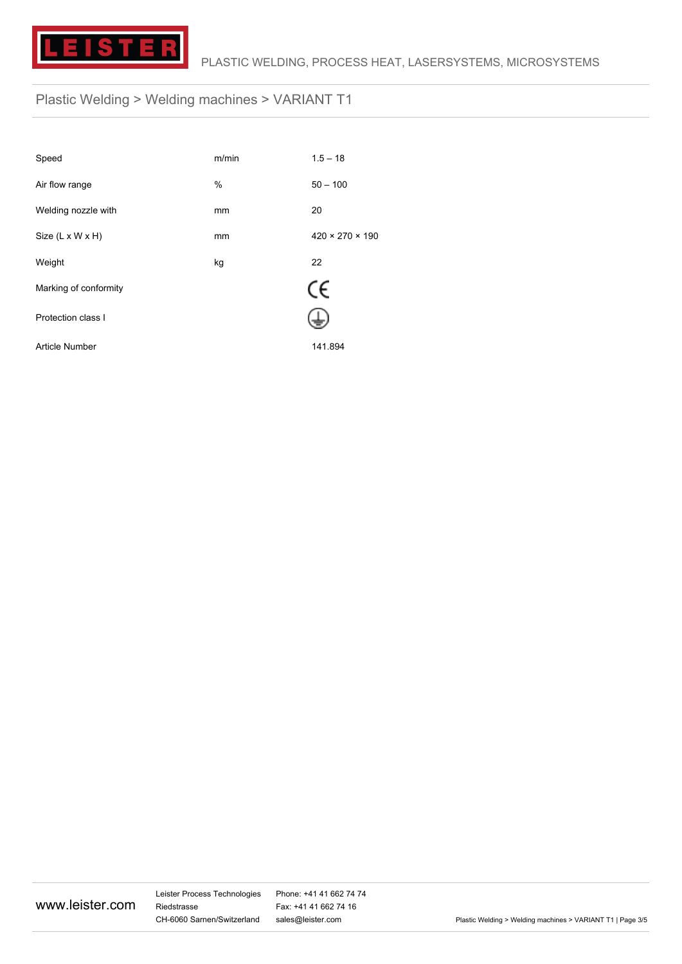

| Speed                        | m/min | $1.5 - 18$                  |
|------------------------------|-------|-----------------------------|
| Air flow range               | %     | $50 - 100$                  |
| Welding nozzle with          | mm    | 20                          |
| Size $(L \times W \times H)$ | mm    | $420 \times 270 \times 190$ |
| Weight                       | kg    | 22                          |
| Marking of conformity        |       | CE                          |
| Protection class I           |       |                             |
| Article Number               |       | 141.894                     |

www.leister.com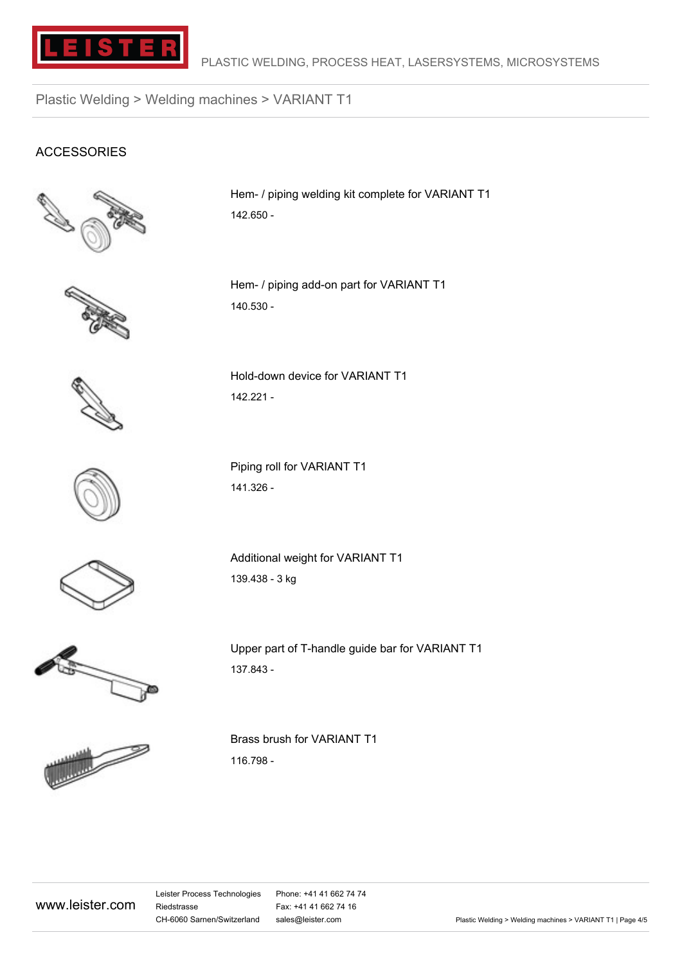

#### ACCESSORIES



Hem- / piping welding kit complete for VARIANT T1 142.650 -

Hem- / piping add-on part for VARIANT T1 140.530 -



Hold-down device for VARIANT T1 142.221 -

Piping roll for VARIANT T1 141.326 -



Additional weight for VARIANT T1 139.438 - 3 kg



Upper part of T-handle guide bar for VARIANT T1 137.843 -



Brass brush for VARIANT T1 116.798 -

www.leister.com

Leister Process Technologies Riedstrasse CH-6060 Sarnen/Switzerland

Phone: +41 41 662 74 74 Fax: +41 41 662 74 16